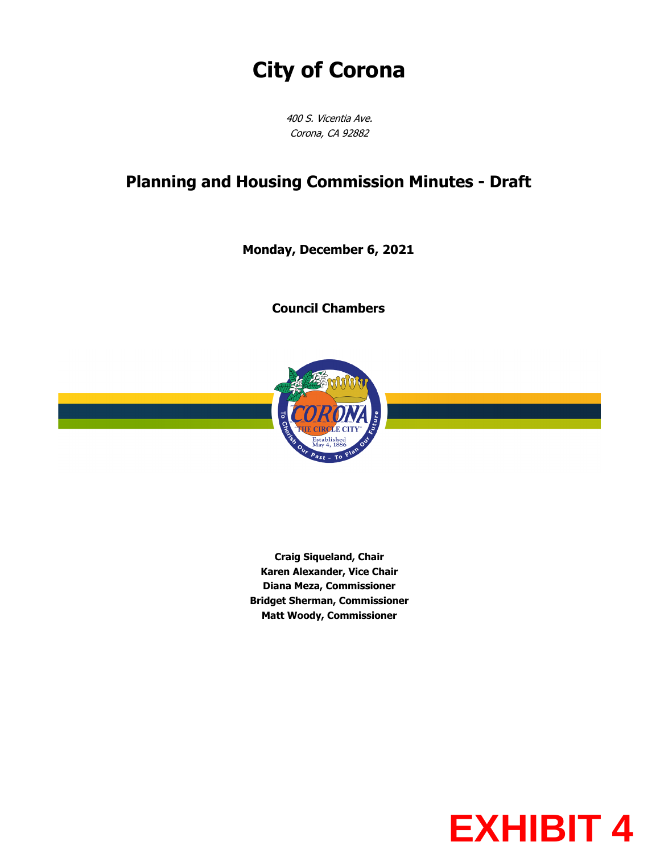# **City of Corona**

400 S. Vicentia Ave. Corona, CA 92882

## **Planning and Housing Commission Minutes - Draft**

**Monday, December 6, 2021**

**Council Chambers**



**Craig Siqueland, Chair Karen Alexander, Vice Chair Diana Meza, Commissioner Bridget Sherman, Commissioner Matt Woody, Commissioner**

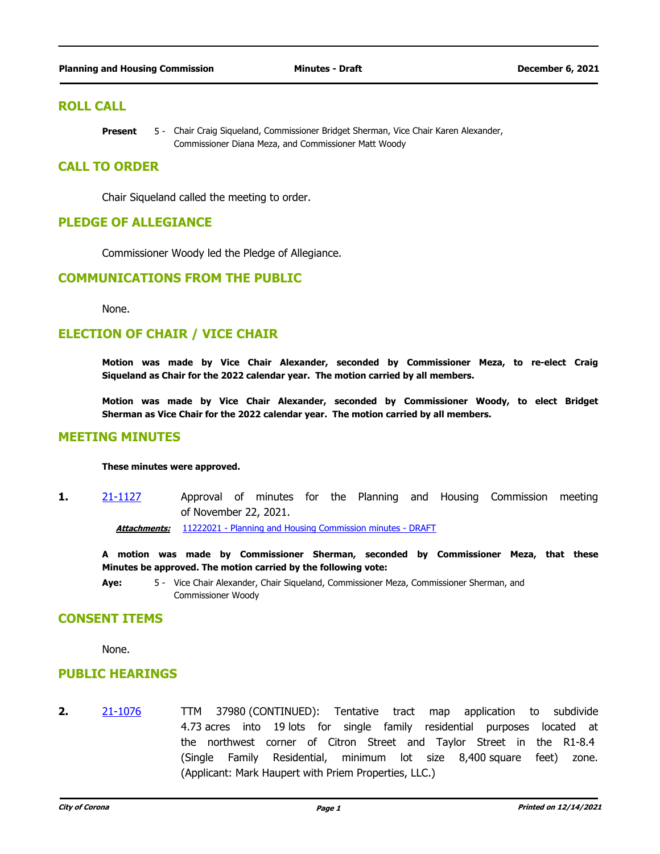## **ROLL CALL**

Chair Craig Siqueland, Commissioner Bridget Sherman, Vice Chair Karen Alexander, Commissioner Diana Meza, and Commissioner Matt Woody **Present** 

## **CALL TO ORDER**

Chair Siqueland called the meeting to order.

## **PLEDGE OF ALLEGIANCE**

Commissioner Woody led the Pledge of Allegiance.

## **COMMUNICATIONS FROM THE PUBLIC**

None.

## **ELECTION OF CHAIR / VICE CHAIR**

**Motion was made by Vice Chair Alexander, seconded by Commissioner Meza, to re-elect Craig Siqueland as Chair for the 2022 calendar year. The motion carried by all members.**

**Motion was made by Vice Chair Alexander, seconded by Commissioner Woody, to elect Bridget Sherman as Vice Chair for the 2022 calendar year. The motion carried by all members.**

### **MEETING MINUTES**

#### **These minutes were approved.**

**1.** [21-1127](http://corona.legistar.com/gateway.aspx?m=l&id=/matter.aspx?key=6846) Approval of minutes for the Planning and Housing Commission meeting of November 22, 2021.

Attachments: [11222021 - Planning and Housing Commission minutes - DRAFT](http://corona.legistar.com/gateway.aspx?M=F&ID=ed26f94b-7a8b-4acc-b0ee-5359ddb80ec9.pdf)

**A motion was made by Commissioner Sherman, seconded by Commissioner Meza, that these Minutes be approved. The motion carried by the following vote:**

**Aye:** Vice Chair Alexander, Chair Siqueland, Commissioner Meza, Commissioner Sherman, and 5 - Commissioner Woody

## **CONSENT ITEMS**

None.

## **PUBLIC HEARINGS**

**2.** [21-1076](http://corona.legistar.com/gateway.aspx?m=l&id=/matter.aspx?key=6794) TTM 37980 (CONTINUED): Tentative tract map application to subdivide 4.73 acres into 19 lots for single family residential purposes located at the northwest corner of Citron Street and Taylor Street in the R1-8.4 (Single Family Residential, minimum lot size 8,400 square feet) zone. (Applicant: Mark Haupert with Priem Properties, LLC.)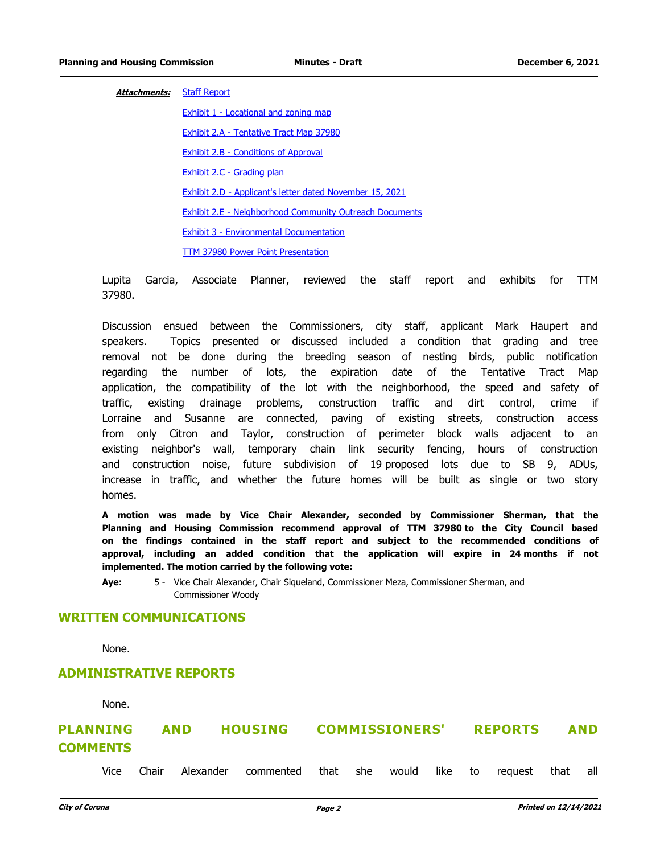#### **Attachments:** [Staff Report](http://corona.legistar.com/gateway.aspx?M=F&ID=a5e72e5e-cd25-437a-9807-f250781b8d82.pdf)

[Exhibit 1 - Locational and zoning map](http://corona.legistar.com/gateway.aspx?M=F&ID=f4f9011e-3da5-4dc8-8f7a-8562d3351905.pdf) [Exhibit 2.A - Tentative Tract Map 37980](http://corona.legistar.com/gateway.aspx?M=F&ID=d48c0f26-4974-4b0c-97a9-dd9c363b25f2.pdf) [Exhibit 2.B - Conditions of Approval](http://corona.legistar.com/gateway.aspx?M=F&ID=5c10e408-0b79-4dbe-9147-930911b6a27d.pdf) [Exhibit 2.C - Grading plan](http://corona.legistar.com/gateway.aspx?M=F&ID=4019620a-03d4-4956-8260-eae077ff60e1.pdf) [Exhibit 2.D - Applicant's letter dated November 15, 2021](http://corona.legistar.com/gateway.aspx?M=F&ID=b40ee05b-3b5a-47a6-999c-d778d96cf1fd.pdf) [Exhibit 2.E - Neighborhood Community Outreach Documents](http://corona.legistar.com/gateway.aspx?M=F&ID=68f9f691-50f9-45a9-ae82-1074e186c4ba.pdf) [Exhibit 3 - Environmental Documentation](http://corona.legistar.com/gateway.aspx?M=F&ID=b4b2eac9-3392-4c44-b492-c49ac944fe60.pdf) [TTM 37980 Power Point Presentation](http://corona.legistar.com/gateway.aspx?M=F&ID=fafc71a3-7701-447f-b797-237987c53231.pdf)

Lupita Garcia, Associate Planner, reviewed the staff report and exhibits for TTM 37980.

Discussion ensued between the Commissioners, city staff, applicant Mark Haupert and speakers. Topics presented or discussed included a condition that grading and tree removal not be done during the breeding season of nesting birds, public notification regarding the number of lots, the expiration date of the Tentative Tract Map application, the compatibility of the lot with the neighborhood, the speed and safety of traffic, existing drainage problems, construction traffic and dirt control, crime if Lorraine and Susanne are connected, paving of existing streets, construction access from only Citron and Taylor, construction of perimeter block walls adjacent to an existing neighbor's wall, temporary chain link security fencing, hours of construction and construction noise, future subdivision of 19 proposed lots due to SB 9, ADUs, increase in traffic, and whether the future homes will be built as single or two story homes.

**A motion was made by Vice Chair Alexander, seconded by Commissioner Sherman, that the Planning and Housing Commission recommend approval of TTM 37980 to the City Council based on the findings contained in the staff report and subject to the recommended conditions of approval, including an added condition that the application will expire in 24 months if not implemented. The motion carried by the following vote:**

**Aye:** Vice Chair Alexander, Chair Siqueland, Commissioner Meza, Commissioner Sherman, and 5 - Commissioner Woody

## **WRITTEN COMMUNICATIONS**

None.

## **ADMINISTRATIVE REPORTS**

None.